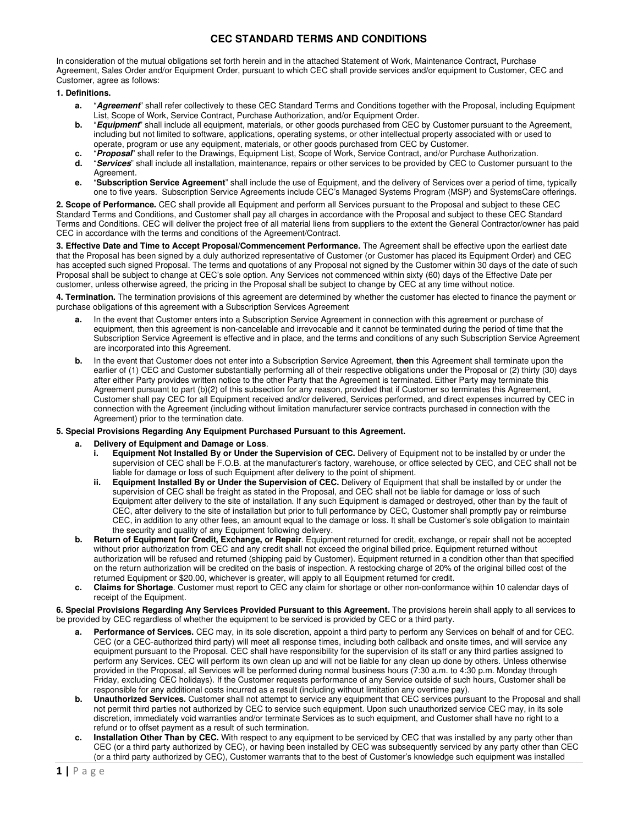In consideration of the mutual obligations set forth herein and in the attached Statement of Work, Maintenance Contract, Purchase Agreement, Sales Order and/or Equipment Order, pursuant to which CEC shall provide services and/or equipment to Customer, CEC and Customer, agree as follows:

### **1. Definitions.**

- **a.** "**Agreement**" shall refer collectively to these CEC Standard Terms and Conditions together with the Proposal, including Equipment List, Scope of Work, Service Contract, Purchase Authorization, and/or Equipment Order.
- **b.** "**Equipment**" shall include all equipment, materials, or other goods purchased from CEC by Customer pursuant to the Agreement, including but not limited to software, applications, operating systems, or other intellectual property associated with or used to operate, program or use any equipment, materials, or other goods purchased from CEC by Customer.
- **c.** "**Proposal**" shall refer to the Drawings, Equipment List, Scope of Work, Service Contract, and/or Purchase Authorization.
- **d.** "**Services**" shall include all installation, maintenance, repairs or other services to be provided by CEC to Customer pursuant to the Agreement.
- **e.** "**Subscription Service Agreement**" shall include the use of Equipment, and the delivery of Services over a period of time, typically one to five years. Subscription Service Agreements include CEC's Managed Systems Program (MSP) and SystemsCare offerings.

**2. Scope of Performance.** CEC shall provide all Equipment and perform all Services pursuant to the Proposal and subject to these CEC Standard Terms and Conditions, and Customer shall pay all charges in accordance with the Proposal and subject to these CEC Standard Terms and Conditions. CEC will deliver the project free of all material liens from suppliers to the extent the General Contractor/owner has paid CEC in accordance with the terms and conditions of the Agreement/Contract.

**3. Effective Date and Time to Accept Proposal/Commencement Performance.** The Agreement shall be effective upon the earliest date that the Proposal has been signed by a duly authorized representative of Customer (or Customer has placed its Equipment Order) and CEC has accepted such signed Proposal. The terms and quotations of any Proposal not signed by the Customer within 30 days of the date of such Proposal shall be subject to change at CEC's sole option. Any Services not commenced within sixty (60) days of the Effective Date per customer, unless otherwise agreed, the pricing in the Proposal shall be subject to change by CEC at any time without notice.

**4. Termination.** The termination provisions of this agreement are determined by whether the customer has elected to finance the payment or purchase obligations of this agreement with a Subscription Services Agreement

- **a.** In the event that Customer enters into a Subscription Service Agreement in connection with this agreement or purchase of equipment, then this agreement is non-cancelable and irrevocable and it cannot be terminated during the period of time that the Subscription Service Agreement is effective and in place, and the terms and conditions of any such Subscription Service Agreement are incorporated into this Agreement.
- **b.** In the event that Customer does not enter into a Subscription Service Agreement, then this Agreement shall terminate upon the earlier of (1) CEC and Customer substantially performing all of their respective obligations under the Proposal or (2) thirty (30) days after either Party provides written notice to the other Party that the Agreement is terminated. Either Party may terminate this Agreement pursuant to part (b)(2) of this subsection for any reason, provided that if Customer so terminates this Agreement, Customer shall pay CEC for all Equipment received and/or delivered, Services performed, and direct expenses incurred by CEC in connection with the Agreement (including without limitation manufacturer service contracts purchased in connection with the Agreement) prior to the termination date.
- **5. Special Provisions Regarding Any Equipment Purchased Pursuant to this Agreement.**

#### **a. Delivery of Equipment and Damage or Loss**.

- **i. Equipment Not Installed By or Under the Supervision of CEC.** Delivery of Equipment not to be installed by or under the supervision of CEC shall be F.O.B. at the manufacturer's factory, warehouse, or office selected by CEC, and CEC shall not be liable for damage or loss of such Equipment after delivery to the point of shipment.
- **ii. Equipment Installed By or Under the Supervision of CEC.** Delivery of Equipment that shall be installed by or under the supervision of CEC shall be freight as stated in the Proposal, and CEC shall not be liable for damage or loss of such Equipment after delivery to the site of installation. If any such Equipment is damaged or destroyed, other than by the fault of CEC, after delivery to the site of installation but prior to full performance by CEC, Customer shall promptly pay or reimburse CEC, in addition to any other fees, an amount equal to the damage or loss. It shall be Customer's sole obligation to maintain the security and quality of any Equipment following delivery.
- **b. Return of Equipment for Credit, Exchange, or Repair**. Equipment returned for credit, exchange, or repair shall not be accepted without prior authorization from CEC and any credit shall not exceed the original billed price. Equipment returned without authorization will be refused and returned (shipping paid by Customer). Equipment returned in a condition other than that specified on the return authorization will be credited on the basis of inspection. A restocking charge of 20% of the original billed cost of the returned Equipment or \$20.00, whichever is greater, will apply to all Equipment returned for credit.
- **c. Claims for Shortage**. Customer must report to CEC any claim for shortage or other non-conformance within 10 calendar days of receipt of the Equipment.

**6. Special Provisions Regarding Any Services Provided Pursuant to this Agreement.** The provisions herein shall apply to all services to be provided by CEC regardless of whether the equipment to be serviced is provided by CEC or a third party.

- **a. Performance of Services.** CEC may, in its sole discretion, appoint a third party to perform any Services on behalf of and for CEC. CEC (or a CEC-authorized third party) will meet all response times, including both callback and onsite times, and will service any equipment pursuant to the Proposal. CEC shall have responsibility for the supervision of its staff or any third parties assigned to perform any Services. CEC will perform its own clean up and will not be liable for any clean up done by others. Unless otherwise provided in the Proposal, all Services will be performed during normal business hours (7:30 a.m. to 4:30 p.m. Monday through Friday, excluding CEC holidays). If the Customer requests performance of any Service outside of such hours, Customer shall be responsible for any additional costs incurred as a result (including without limitation any overtime pay).
- **b. Unauthorized Services.** Customer shall not attempt to service any equipment that CEC services pursuant to the Proposal and shall not permit third parties not authorized by CEC to service such equipment. Upon such unauthorized service CEC may, in its sole discretion, immediately void warranties and/or terminate Services as to such equipment, and Customer shall have no right to a refund or to offset payment as a result of such termination.
- **c. Installation Other Than by CEC.** With respect to any equipment to be serviced by CEC that was installed by any party other than CEC (or a third party authorized by CEC), or having been installed by CEC was subsequently serviced by any party other than CEC (or a third party authorized by CEC), Customer warrants that to the best of Customer's knowledge such equipment was installed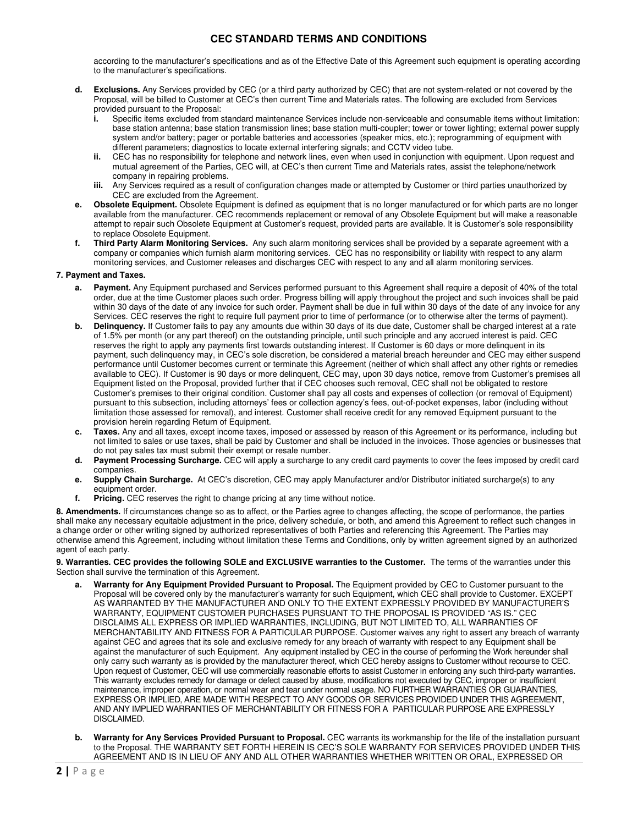according to the manufacturer's specifications and as of the Effective Date of this Agreement such equipment is operating according to the manufacturer's specifications.

- **d. Exclusions.** Any Services provided by CEC (or a third party authorized by CEC) that are not system-related or not covered by the Proposal, will be billed to Customer at CEC's then current Time and Materials rates. The following are excluded from Services provided pursuant to the Proposal:
	- Specific items excluded from standard maintenance Services include non-serviceable and consumable items without limitation: base station antenna; base station transmission lines; base station multi-coupler; tower or tower lighting; external power supply system and/or battery; pager or portable batteries and accessories (speaker mics, etc.); reprogramming of equipment with different parameters; diagnostics to locate external interfering signals; and CCTV video tube.
	- **ii.** CEC has no responsibility for telephone and network lines, even when used in conjunction with equipment. Upon request and mutual agreement of the Parties, CEC will, at CEC's then current Time and Materials rates, assist the telephone/network company in repairing problems.
	- **iii.** Any Services required as a result of configuration changes made or attempted by Customer or third parties unauthorized by CEC are excluded from the Agreement.
- **e. Obsolete Equipment.** Obsolete Equipment is defined as equipment that is no longer manufactured or for which parts are no longer available from the manufacturer. CEC recommends replacement or removal of any Obsolete Equipment but will make a reasonable attempt to repair such Obsolete Equipment at Customer's request, provided parts are available. It is Customer's sole responsibility to replace Obsolete Equipment.
- **f. Third Party Alarm Monitoring Services.** Any such alarm monitoring services shall be provided by a separate agreement with a company or companies which furnish alarm monitoring services. CEC has no responsibility or liability with respect to any alarm monitoring services, and Customer releases and discharges CEC with respect to any and all alarm monitoring services.

### **7. Payment and Taxes.**

- **a. Payment.** Any Equipment purchased and Services performed pursuant to this Agreement shall require a deposit of 40% of the total order, due at the time Customer places such order. Progress billing will apply throughout the project and such invoices shall be paid within 30 days of the date of any invoice for such order. Payment shall be due in full within 30 days of the date of any invoice for any Services. CEC reserves the right to require full payment prior to time of performance (or to otherwise alter the terms of payment).
- **b. Delinquency.** If Customer fails to pay any amounts due within 30 days of its due date, Customer shall be charged interest at a rate of 1.5% per month (or any part thereof) on the outstanding principle, until such principle and any accrued interest is paid. CEC reserves the right to apply any payments first towards outstanding interest. If Customer is 60 days or more delinquent in its payment, such delinquency may, in CEC's sole discretion, be considered a material breach hereunder and CEC may either suspend performance until Customer becomes current or terminate this Agreement (neither of which shall affect any other rights or remedies available to CEC). If Customer is 90 days or more delinquent, CEC may, upon 30 days notice, remove from Customer's premises all Equipment listed on the Proposal, provided further that if CEC chooses such removal, CEC shall not be obligated to restore Customer's premises to their original condition. Customer shall pay all costs and expenses of collection (or removal of Equipment) pursuant to this subsection, including attorneys' fees or collection agency's fees, out-of-pocket expenses, labor (including without limitation those assessed for removal), and interest. Customer shall receive credit for any removed Equipment pursuant to the provision herein regarding Return of Equipment.
- **c. Taxes.** Any and all taxes, except income taxes, imposed or assessed by reason of this Agreement or its performance, including but not limited to sales or use taxes, shall be paid by Customer and shall be included in the invoices. Those agencies or businesses that do not pay sales tax must submit their exempt or resale number.
- **d. Payment Processing Surcharge.** CEC will apply a surcharge to any credit card payments to cover the fees imposed by credit card companies.
- **e. Supply Chain Surcharge.** At CEC's discretion, CEC may apply Manufacturer and/or Distributor initiated surcharge(s) to any equipment order.
- **f. Pricing.** CEC reserves the right to change pricing at any time without notice.

**8. Amendments.** If circumstances change so as to affect, or the Parties agree to changes affecting, the scope of performance, the parties shall make any necessary equitable adjustment in the price, delivery schedule, or both, and amend this Agreement to reflect such changes in a change order or other writing signed by authorized representatives of both Parties and referencing this Agreement. The Parties may otherwise amend this Agreement, including without limitation these Terms and Conditions, only by written agreement signed by an authorized agent of each party.

**9. Warranties. CEC provides the following SOLE and EXCLUSIVE warranties to the Customer.** The terms of the warranties under this Section shall survive the termination of this Agreement.

- Warranty for Any Equipment Provided Pursuant to Proposal. The Equipment provided by CEC to Customer pursuant to the Proposal will be covered only by the manufacturer's warranty for such Equipment, which CEC shall provide to Customer. EXCEPT AS WARRANTED BY THE MANUFACTURER AND ONLY TO THE EXTENT EXPRESSLY PROVIDED BY MANUFACTURER'S WARRANTY, EQUIPMENT CUSTOMER PURCHASES PURSUANT TO THE PROPOSAL IS PROVIDED "AS IS." CEC DISCLAIMS ALL EXPRESS OR IMPLIED WARRANTIES, INCLUDING, BUT NOT LIMITED TO, ALL WARRANTIES OF MERCHANTABILITY AND FITNESS FOR A PARTICULAR PURPOSE. Customer waives any right to assert any breach of warranty against CEC and agrees that its sole and exclusive remedy for any breach of warranty with respect to any Equipment shall be against the manufacturer of such Equipment. Any equipment installed by CEC in the course of performing the Work hereunder shall only carry such warranty as is provided by the manufacturer thereof, which CEC hereby assigns to Customer without recourse to CEC. Upon request of Customer, CEC will use commercially reasonable efforts to assist Customer in enforcing any such third-party warranties. This warranty excludes remedy for damage or defect caused by abuse, modifications not executed by CEC, improper or insufficient maintenance, improper operation, or normal wear and tear under normal usage. NO FURTHER WARRANTIES OR GUARANTIES, EXPRESS OR IMPLIED, ARE MADE WITH RESPECT TO ANY GOODS OR SERVICES PROVIDED UNDER THIS AGREEMENT, AND ANY IMPLIED WARRANTIES OF MERCHANTABILITY OR FITNESS FOR A PARTICULAR PURPOSE ARE EXPRESSLY DISCLAIMED.
- **b.** Warranty for Any Services Provided Pursuant to Proposal. CEC warrants its workmanship for the life of the installation pursuant to the Proposal. THE WARRANTY SET FORTH HEREIN IS CEC'S SOLE WARRANTY FOR SERVICES PROVIDED UNDER THIS AGREEMENT AND IS IN LIEU OF ANY AND ALL OTHER WARRANTIES WHETHER WRITTEN OR ORAL, EXPRESSED OR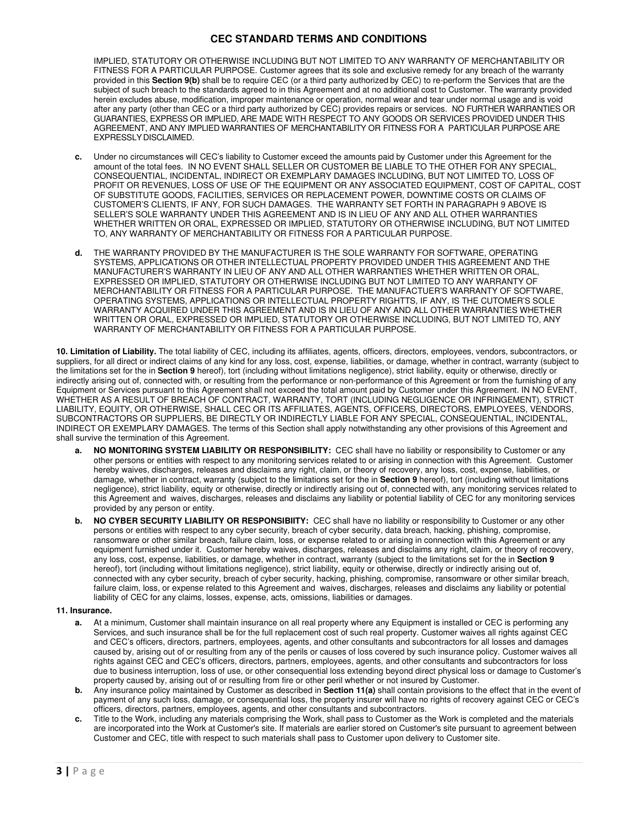IMPLIED, STATUTORY OR OTHERWISE INCLUDING BUT NOT LIMITED TO ANY WARRANTY OF MERCHANTABILITY OR FITNESS FOR A PARTICULAR PURPOSE. Customer agrees that its sole and exclusive remedy for any breach of the warranty provided in this **Section 9(b)** shall be to require CEC (or a third party authorized by CEC) to re-perform the Services that are the subject of such breach to the standards agreed to in this Agreement and at no additional cost to Customer. The warranty provided herein excludes abuse, modification, improper maintenance or operation, normal wear and tear under normal usage and is void after any party (other than CEC or a third party authorized by CEC) provides repairs or services. NO FURTHER WARRANTIES OR GUARANTIES, EXPRESS OR IMPLIED, ARE MADE WITH RESPECT TO ANY GOODS OR SERVICES PROVIDED UNDER THIS AGREEMENT, AND ANY IMPLIED WARRANTIES OF MERCHANTABILITY OR FITNESS FOR A PARTICULAR PURPOSE ARE EXPRESSLY DISCLAIMED.

- **c.** Under no circumstances will CEC's liability to Customer exceed the amounts paid by Customer under this Agreement for the amount of the total fees. IN NO EVENT SHALL SELLER OR CUSTOMER BE LIABLE TO THE OTHER FOR ANY SPECIAL, CONSEQUENTIAL, INCIDENTAL, INDIRECT OR EXEMPLARY DAMAGES INCLUDING, BUT NOT LIMITED TO, LOSS OF PROFIT OR REVENUES, LOSS OF USE OF THE EQUIPMENT OR ANY ASSOCIATED EQUIPMENT, COST OF CAPITAL, COST OF SUBSTITUTE GOODS, FACILITIES, SERVICES OR REPLACEMENT POWER, DOWNTIME COSTS OR CLAIMS OF CUSTOMER'S CLIENTS, IF ANY, FOR SUCH DAMAGES. THE WARRANTY SET FORTH IN PARAGRAPH 9 ABOVE IS SELLER'S SOLE WARRANTY UNDER THIS AGREEMENT AND IS IN LIEU OF ANY AND ALL OTHER WARRANTIES WHETHER WRITTEN OR ORAL, EXPRESSED OR IMPLIED, STATUTORY OR OTHERWISE INCLUDING, BUT NOT LIMITED TO, ANY WARRANTY OF MERCHANTABILITY OR FITNESS FOR A PARTICULAR PURPOSE.
- **d.** THE WARRANTY PROVIDED BY THE MANUFACTURER IS THE SOLE WARRANTY FOR SOFTWARE, OPERATING SYSTEMS, APPLICATIONS OR OTHER INTELLECTUAL PROPERTY PROVIDED UNDER THIS AGREEMENT AND THE MANUFACTURER'S WARRANTY IN LIEU OF ANY AND ALL OTHER WARRANTIES WHETHER WRITTEN OR ORAL, EXPRESSED OR IMPLIED, STATUTORY OR OTHERWISE INCLUDING BUT NOT LIMITED TO ANY WARRANTY OF MERCHANTABILITY OR FITNESS FOR A PARTICULAR PURPOSE. THE MANUFACTUER'S WARRANTY OF SOFTWARE, OPERATING SYSTEMS, APPLICATIONS OR INTELLECTUAL PROPERTY RIGHTTS, IF ANY, IS THE CUTOMER'S SOLE WARRANTY ACQUIRED UNDER THIS AGREEMENT AND IS IN LIEU OF ANY AND ALL OTHER WARRANTIES WHETHER WRITTEN OR ORAL, EXPRESSED OR IMPLIED, STATUTORY OR OTHERWISE INCLUDING, BUT NOT LIMITED TO, ANY WARRANTY OF MERCHANTABILITY OR FITNESS FOR A PARTICULAR PURPOSE.

**10. Limitation of Liability.** The total liability of CEC, including its affiliates, agents, officers, directors, employees, vendors, subcontractors, or suppliers, for all direct or indirect claims of any kind for any loss, cost, expense, liabilities, or damage, whether in contract, warranty (subject to the limitations set for the in **Section 9** hereof), tort (including without limitations negligence), strict liability, equity or otherwise, directly or indirectly arising out of, connected with, or resulting from the performance or non-performance of this Agreement or from the furnishing of any Equipment or Services pursuant to this Agreement shall not exceed the total amount paid by Customer under this Agreement. IN NO EVENT, WHETHER AS A RESULT OF BREACH OF CONTRACT, WARRANTY, TORT (INCLUDING NEGLIGENCE OR INFRINGEMENT), STRICT LIABILITY, EQUITY, OR OTHERWISE, SHALL CEC OR ITS AFFILIATES, AGENTS, OFFICERS, DIRECTORS, EMPLOYEES, VENDORS, SUBCONTRACTORS OR SUPPLIERS, BE DIRECTLY OR INDIRECTLY LIABLE FOR ANY SPECIAL, CONSEQUENTIAL, INCIDENTAL, INDIRECT OR EXEMPLARY DAMAGES. The terms of this Section shall apply notwithstanding any other provisions of this Agreement and shall survive the termination of this Agreement.

- **NO MONITORING SYSTEM LIABILITY OR RESPONSIBILITY:** CEC shall have no liability or responsibility to Customer or any other persons or entities with respect to any monitoring services related to or arising in connection with this Agreement. Customer hereby waives, discharges, releases and disclaims any right, claim, or theory of recovery, any loss, cost, expense, liabilities, or damage, whether in contract, warranty (subject to the limitations set for the in **Section 9** hereof), tort (including without limitations negligence), strict liability, equity or otherwise, directly or indirectly arising out of, connected with, any monitoring services related to this Agreement and waives, discharges, releases and disclaims any liability or potential liability of CEC for any monitoring services provided by any person or entity.
- **b. NO CYBER SECURITY LIABILITY OR RESPONSIBIITY:** CEC shall have no liability or responsibility to Customer or any other persons or entities with respect to any cyber security, breach of cyber security, data breach, hacking, phishing, compromise, ransomware or other similar breach, failure claim, loss, or expense related to or arising in connection with this Agreement or any equipment furnished under it. Customer hereby waives, discharges, releases and disclaims any right, claim, or theory of recovery, any loss, cost, expense, liabilities, or damage, whether in contract, warranty (subject to the limitations set for the in **Section 9**  hereof), tort (including without limitations negligence), strict liability, equity or otherwise, directly or indirectly arising out of, connected with any cyber security, breach of cyber security, hacking, phishing, compromise, ransomware or other similar breach, failure claim, loss, or expense related to this Agreement and waives, discharges, releases and disclaims any liability or potential liability of CEC for any claims, losses, expense, acts, omissions, liabilities or damages.

#### **11. Insurance.**

- **a.** At a minimum, Customer shall maintain insurance on all real property where any Equipment is installed or CEC is performing any Services, and such insurance shall be for the full replacement cost of such real property. Customer waives all rights against CEC and CEC's officers, directors, partners, employees, agents, and other consultants and subcontractors for all losses and damages caused by, arising out of or resulting from any of the perils or causes of loss covered by such insurance policy. Customer waives all rights against CEC and CEC's officers, directors, partners, employees, agents, and other consultants and subcontractors for loss due to business interruption, loss of use, or other consequential loss extending beyond direct physical loss or damage to Customer's property caused by, arising out of or resulting from fire or other peril whether or not insured by Customer.
- **b.** Any insurance policy maintained by Customer as described in **Section 11(a)** shall contain provisions to the effect that in the event of payment of any such loss, damage, or consequential loss, the property insurer will have no rights of recovery against CEC or CEC's officers, directors, partners, employees, agents, and other consultants and subcontractors.
- **c.** Title to the Work, including any materials comprising the Work, shall pass to Customer as the Work is completed and the materials are incorporated into the Work at Customer's site. If materials are earlier stored on Customer's site pursuant to agreement between Customer and CEC, title with respect to such materials shall pass to Customer upon delivery to Customer site.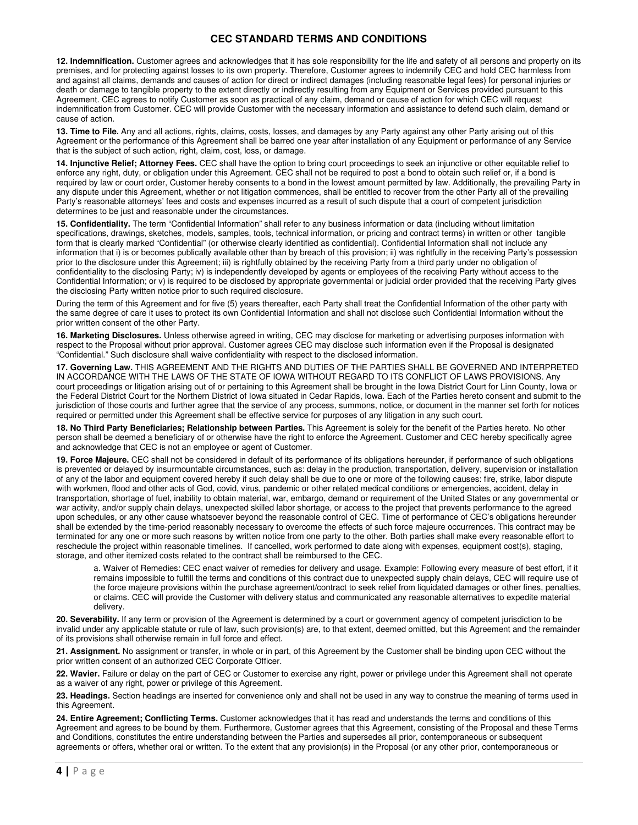**12. Indemnification.** Customer agrees and acknowledges that it has sole responsibility for the life and safety of all persons and property on its premises, and for protecting against losses to its own property. Therefore, Customer agrees to indemnify CEC and hold CEC harmless from and against all claims, demands and causes of action for direct or indirect damages (including reasonable legal fees) for personal injuries or death or damage to tangible property to the extent directly or indirectly resulting from any Equipment or Services provided pursuant to this Agreement. CEC agrees to notify Customer as soon as practical of any claim, demand or cause of action for which CEC will request indemnification from Customer. CEC will provide Customer with the necessary information and assistance to defend such claim, demand or cause of action.

**13. Time to File.** Any and all actions, rights, claims, costs, losses, and damages by any Party against any other Party arising out of this Agreement or the performance of this Agreement shall be barred one year after installation of any Equipment or performance of any Service that is the subject of such action, right, claim, cost, loss, or damage.

**14. Injunctive Relief; Attorney Fees.** CEC shall have the option to bring court proceedings to seek an injunctive or other equitable relief to enforce any right, duty, or obligation under this Agreement. CEC shall not be required to post a bond to obtain such relief or, if a bond is required by law or court order, Customer hereby consents to a bond in the lowest amount permitted by law. Additionally, the prevailing Party in any dispute under this Agreement, whether or not litigation commences, shall be entitled to recover from the other Party all of the prevailing Party's reasonable attorneys' fees and costs and expenses incurred as a result of such dispute that a court of competent jurisdiction determines to be just and reasonable under the circumstances.

**15. Confidentiality.** The term "Confidential Information" shall refer to any business information or data (including without limitation specifications, drawings, sketches, models, samples, tools, technical information, or pricing and contract terms) in written or other tangible form that is clearly marked "Confidential" (or otherwise clearly identified as confidential). Confidential Information shall not include any information that i) is or becomes publically available other than by breach of this provision; ii) was rightfully in the receiving Party's possession prior to the disclosure under this Agreement; iii) is rightfully obtained by the receiving Party from a third party under no obligation of confidentiality to the disclosing Party; iv) is independently developed by agents or employees of the receiving Party without access to the Confidential Information; or v) is required to be disclosed by appropriate governmental or judicial order provided that the receiving Party gives the disclosing Party written notice prior to such required disclosure.

During the term of this Agreement and for five (5) years thereafter, each Party shall treat the Confidential Information of the other party with the same degree of care it uses to protect its own Confidential Information and shall not disclose such Confidential Information without the prior written consent of the other Party.

**16. Marketing Disclosures.** Unless otherwise agreed in writing, CEC may disclose for marketing or advertising purposes information with respect to the Proposal without prior approval. Customer agrees CEC may disclose such information even if the Proposal is designated "Confidential." Such disclosure shall waive confidentiality with respect to the disclosed information.

**17. Governing Law.** THIS AGREEMENT AND THE RIGHTS AND DUTIES OF THE PARTIES SHALL BE GOVERNED AND INTERPRETED IN ACCORDANCE WITH THE LAWS OF THE STATE OF IOWA WITHOUT REGARD TO ITS CONFLICT OF LAWS PROVISIONS. Any court proceedings or litigation arising out of or pertaining to this Agreement shall be brought in the Iowa District Court for Linn County, Iowa or the Federal District Court for the Northern District of Iowa situated in Cedar Rapids, Iowa. Each of the Parties hereto consent and submit to the jurisdiction of those courts and further agree that the service of any process, summons, notice, or document in the manner set forth for notices required or permitted under this Agreement shall be effective service for purposes of any litigation in any such court.

**18. No Third Party Beneficiaries; Relationship between Parties.** This Agreement is solely for the benefit of the Parties hereto. No other person shall be deemed a beneficiary of or otherwise have the right to enforce the Agreement. Customer and CEC hereby specifically agree and acknowledge that CEC is not an employee or agent of Customer.

**19. Force Majeure.** CEC shall not be considered in default of its performance of its obligations hereunder, if performance of such obligations is prevented or delayed by insurmountable circumstances, such as: delay in the production, transportation, delivery, supervision or installation of any of the labor and equipment covered hereby if such delay shall be due to one or more of the following causes: fire, strike, labor dispute with workmen, flood and other acts of God, covid, virus, pandemic or other related medical conditions or emergencies, accident, delay in transportation, shortage of fuel, inability to obtain material, war, embargo, demand or requirement of the United States or any governmental or war activity, and/or supply chain delays, unexpected skilled labor shortage, or access to the project that prevents performance to the agreed upon schedules, or any other cause whatsoever beyond the reasonable control of CEC. Time of performance of CEC's obligations hereunder shall be extended by the time-period reasonably necessary to overcome the effects of such force majeure occurrences. This contract may be terminated for any one or more such reasons by written notice from one party to the other. Both parties shall make every reasonable effort to reschedule the project within reasonable timelines. If cancelled, work performed to date along with expenses, equipment cost(s), staging, storage, and other itemized costs related to the contract shall be reimbursed to the CEC.

a. Waiver of Remedies: CEC enact waiver of remedies for delivery and usage. Example: Following every measure of best effort, if it remains impossible to fulfill the terms and conditions of this contract due to unexpected supply chain delays, CEC will require use of the force majeure provisions within the purchase agreement/contract to seek relief from liquidated damages or other fines, penalties, or claims. CEC will provide the Customer with delivery status and communicated any reasonable alternatives to expedite material delivery.

**20. Severability.** If any term or provision of the Agreement is determined by a court or government agency of competent jurisdiction to be invalid under any applicable statute or rule of law, such provision(s) are, to that extent, deemed omitted, but this Agreement and the remainder of its provisions shall otherwise remain in full force and effect.

**21. Assignment.** No assignment or transfer, in whole or in part, of this Agreement by the Customer shall be binding upon CEC without the prior written consent of an authorized CEC Corporate Officer.

**22. Wavier.** Failure or delay on the part of CEC or Customer to exercise any right, power or privilege under this Agreement shall not operate as a waiver of any right, power or privilege of this Agreement.

**23. Headings.** Section headings are inserted for convenience only and shall not be used in any way to construe the meaning of terms used in this Agreement.

**24. Entire Agreement; Conflicting Terms.** Customer acknowledges that it has read and understands the terms and conditions of this Agreement and agrees to be bound by them. Furthermore, Customer agrees that this Agreement, consisting of the Proposal and these Terms and Conditions, constitutes the entire understanding between the Parties and supersedes all prior, contemporaneous or subsequent agreements or offers, whether oral or written. To the extent that any provision(s) in the Proposal (or any other prior, contemporaneous or